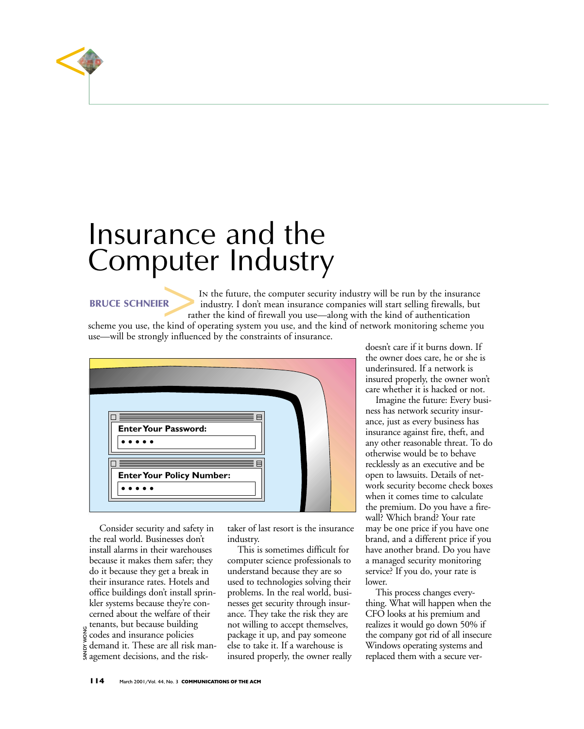

## Insurance and the Computer Industry **BRUCE SCHNEIER**<br>
BRUCE SCHNEIER<br>
scheme you use, the kind of o

In the future, the computer security industry will be run by the insurance industry. I don't mean insurance companies will start selling firewalls, but rather the kind of firewall you use—along with the kind of authentication

scheme you use, the kind of operating system you use, and the kind of network monitoring scheme you use—will be strongly influenced by the constraints of insurance.



Consider security and safety in the real world. Businesses don't install alarms in their warehouses because it makes them safer; they do it because they get a break in their insurance rates. Hotels and office buildings don't install sprinkler systems because they're concerned about the welfare of their tenants, but because building codes and insurance policies demand it. These are all risk management decisions, and the risk-

SANDY WONG

taker of last resort is the insurance industry.

This is sometimes difficult for computer science professionals to understand because they are so used to technologies solving their problems. In the real world, businesses get security through insurance. They take the risk they are not willing to accept themselves, package it up, and pay someone else to take it. If a warehouse is insured properly, the owner really doesn't care if it burns down. If the owner does care, he or she is underinsured. If a network is insured properly, the owner won't care whether it is hacked or not.

Imagine the future: Every business has network security insurance, just as every business has insurance against fire, theft, and any other reasonable threat. To do otherwise would be to behave recklessly as an executive and be open to lawsuits. Details of network security become check boxes when it comes time to calculate the premium. Do you have a firewall? Which brand? Your rate may be one price if you have one brand, and a different price if you have another brand. Do you have a managed security monitoring service? If you do, your rate is lower.

This process changes everything. What will happen when the CFO looks at his premium and realizes it would go down 50% if the company got rid of all insecure Windows operating systems and replaced them with a secure ver